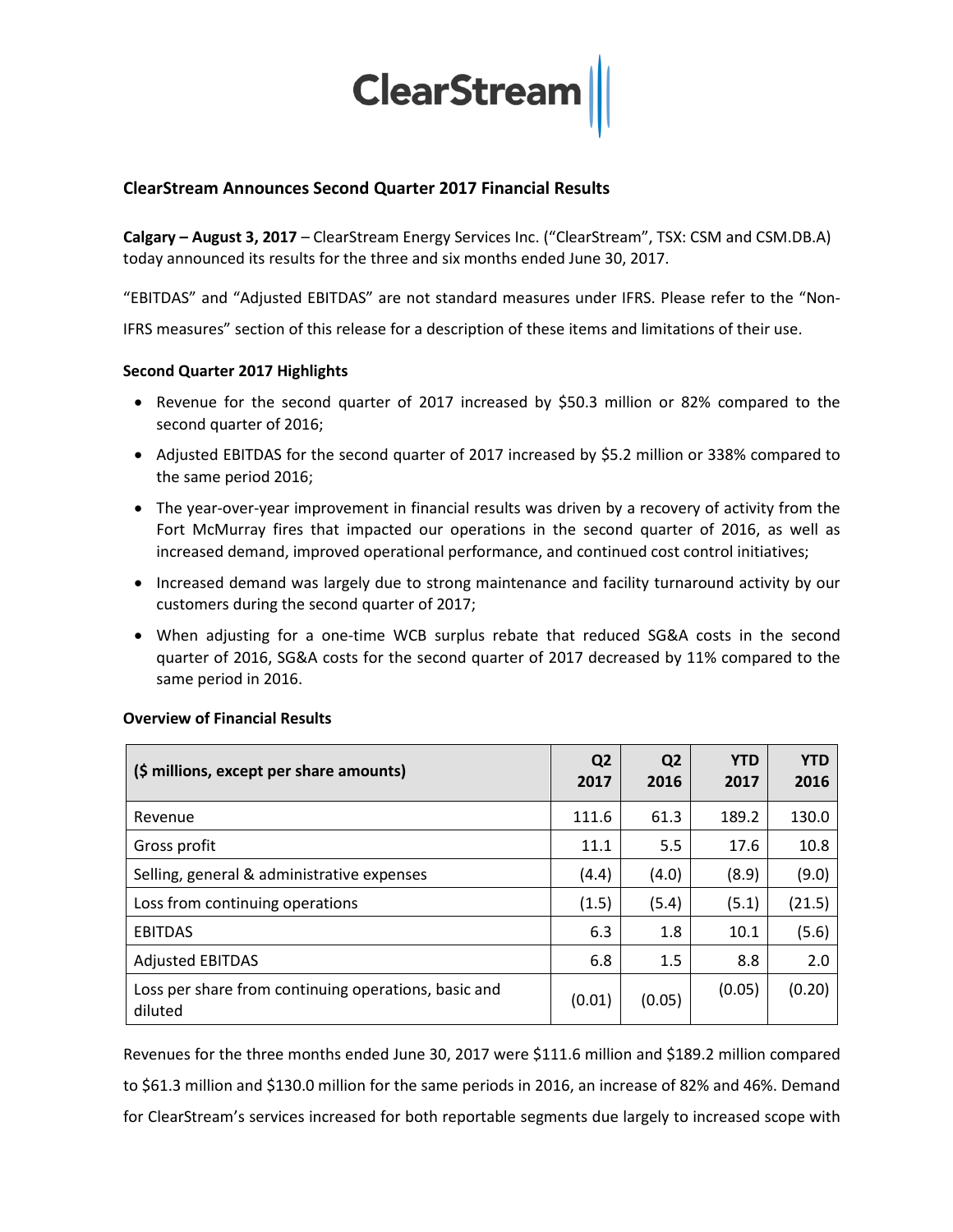

### **ClearStream Announces Second Quarter 2017 Financial Results**

**Calgary – August 3, 2017** – ClearStream Energy Services Inc. ("ClearStream", TSX: CSM and CSM.DB.A) today announced its results for the three and six months ended June 30, 2017.

"EBITDAS" and "Adjusted EBITDAS" are not standard measures under IFRS. Please refer to the "Non-IFRS measures" section of this release for a description of these items and limitations of their use.

### **Second Quarter 2017 Highlights**

- Revenue for the second quarter of 2017 increased by \$50.3 million or 82% compared to the second quarter of 2016;
- Adjusted EBITDAS for the second quarter of 2017 increased by \$5.2 million or 338% compared to the same period 2016;
- The year-over-year improvement in financial results was driven by a recovery of activity from the Fort McMurray fires that impacted our operations in the second quarter of 2016, as well as increased demand, improved operational performance, and continued cost control initiatives;
- Increased demand was largely due to strong maintenance and facility turnaround activity by our customers during the second quarter of 2017;
- When adjusting for a one-time WCB surplus rebate that reduced SG&A costs in the second quarter of 2016, SG&A costs for the second quarter of 2017 decreased by 11% compared to the same period in 2016.

| (\$ millions, except per share amounts)                         | Q <sub>2</sub><br>2017 | Q <sub>2</sub><br>2016 | <b>YTD</b><br>2017 | <b>YTD</b><br>2016 |
|-----------------------------------------------------------------|------------------------|------------------------|--------------------|--------------------|
| Revenue                                                         | 111.6                  | 61.3                   | 189.2              | 130.0              |
| Gross profit                                                    | 11.1                   | 5.5                    | 17.6               | 10.8               |
| Selling, general & administrative expenses                      | (4.4)                  | (4.0)                  | (8.9)              | (9.0)              |
| Loss from continuing operations                                 | (1.5)                  | (5.4)                  | (5.1)              | (21.5)             |
| <b>EBITDAS</b>                                                  | 6.3                    | 1.8                    | 10.1               | (5.6)              |
| <b>Adjusted EBITDAS</b>                                         | 6.8                    | 1.5                    | 8.8                | 2.0                |
| Loss per share from continuing operations, basic and<br>diluted | (0.01)                 | (0.05)                 | (0.05)             | (0.20)             |

### **Overview of Financial Results**

Revenues for the three months ended June 30, 2017 were \$111.6 million and \$189.2 million compared to \$61.3 million and \$130.0 million for the same periods in 2016, an increase of 82% and 46%. Demand for ClearStream's services increased for both reportable segments due largely to increased scope with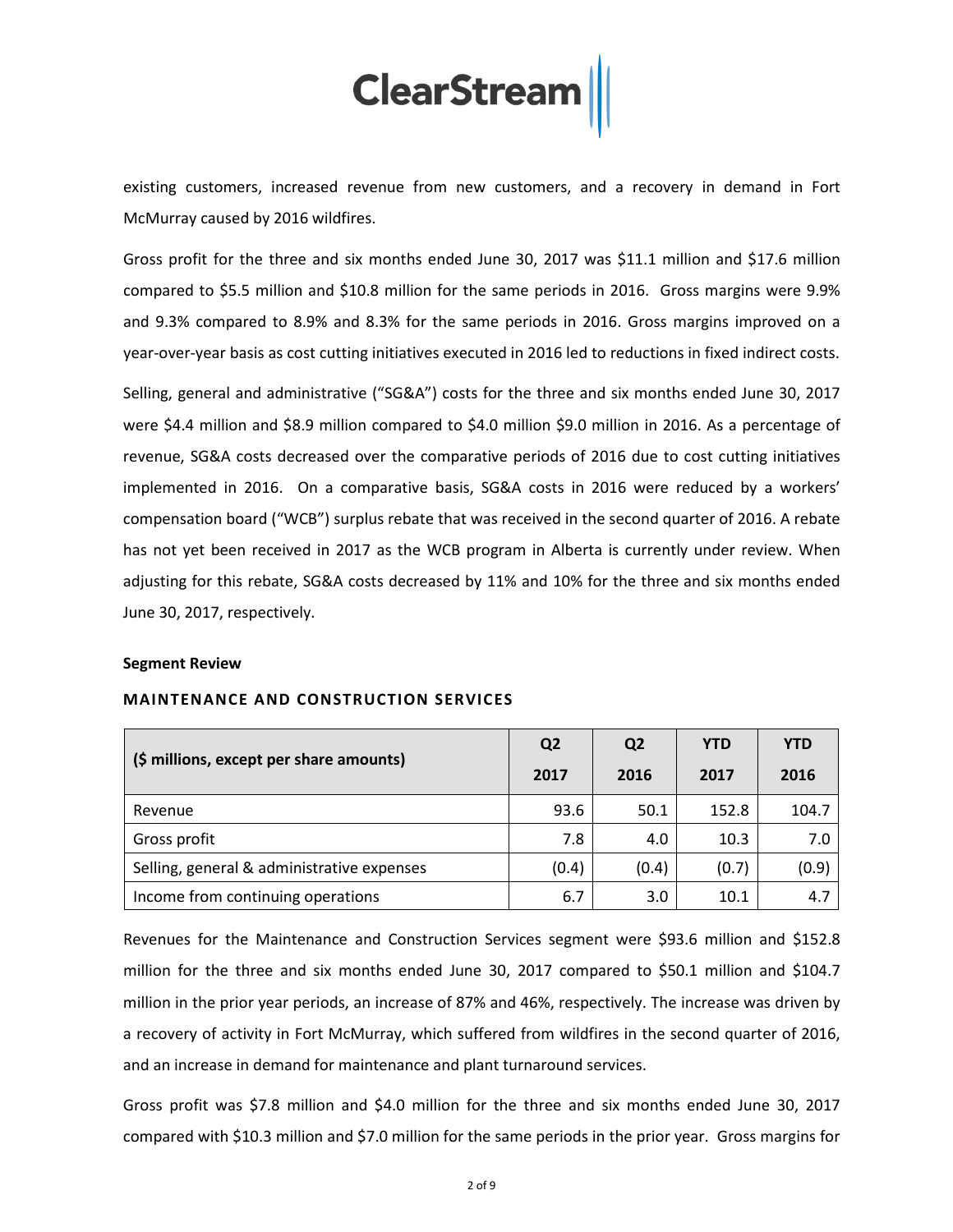existing customers, increased revenue from new customers, and a recovery in demand in Fort McMurray caused by 2016 wildfires.

Gross profit for the three and six months ended June 30, 2017 was \$11.1 million and \$17.6 million compared to \$5.5 million and \$10.8 million for the same periods in 2016. Gross margins were 9.9% and 9.3% compared to 8.9% and 8.3% for the same periods in 2016. Gross margins improved on a year-over-year basis as cost cutting initiatives executed in 2016 led to reductions in fixed indirect costs.

Selling, general and administrative ("SG&A") costs for the three and six months ended June 30, 2017 were \$4.4 million and \$8.9 million compared to \$4.0 million \$9.0 million in 2016. As a percentage of revenue, SG&A costs decreased over the comparative periods of 2016 due to cost cutting initiatives implemented in 2016. On a comparative basis, SG&A costs in 2016 were reduced by a workers' compensation board ("WCB") surplus rebate that was received in the second quarter of 2016. A rebate has not yet been received in 2017 as the WCB program in Alberta is currently under review. When adjusting for this rebate, SG&A costs decreased by 11% and 10% for the three and six months ended June 30, 2017, respectively.

#### **Segment Review**

| (\$ millions, except per share amounts)    | Q <sub>2</sub> | Q <sub>2</sub> | <b>YTD</b> | <b>YTD</b> |
|--------------------------------------------|----------------|----------------|------------|------------|
|                                            | 2017           | 2016           | 2017       | 2016       |
| Revenue                                    | 93.6           | 50.1           | 152.8      | 104.7      |
| Gross profit                               | 7.8            | 4.0            | 10.3       | 7.0        |
| Selling, general & administrative expenses | (0.4)          | (0.4)          | (0.7)      | (0.9)      |
| Income from continuing operations          | 6.7            | 3.0            | 10.1       | 4.7        |

#### **MAINTENANCE AND CONSTRUCTION SERVICES**

Revenues for the Maintenance and Construction Services segment were \$93.6 million and \$152.8 million for the three and six months ended June 30, 2017 compared to \$50.1 million and \$104.7 million in the prior year periods, an increase of 87% and 46%, respectively. The increase was driven by a recovery of activity in Fort McMurray, which suffered from wildfires in the second quarter of 2016, and an increase in demand for maintenance and plant turnaround services.

Gross profit was \$7.8 million and \$4.0 million for the three and six months ended June 30, 2017 compared with \$10.3 million and \$7.0 million for the same periods in the prior year. Gross margins for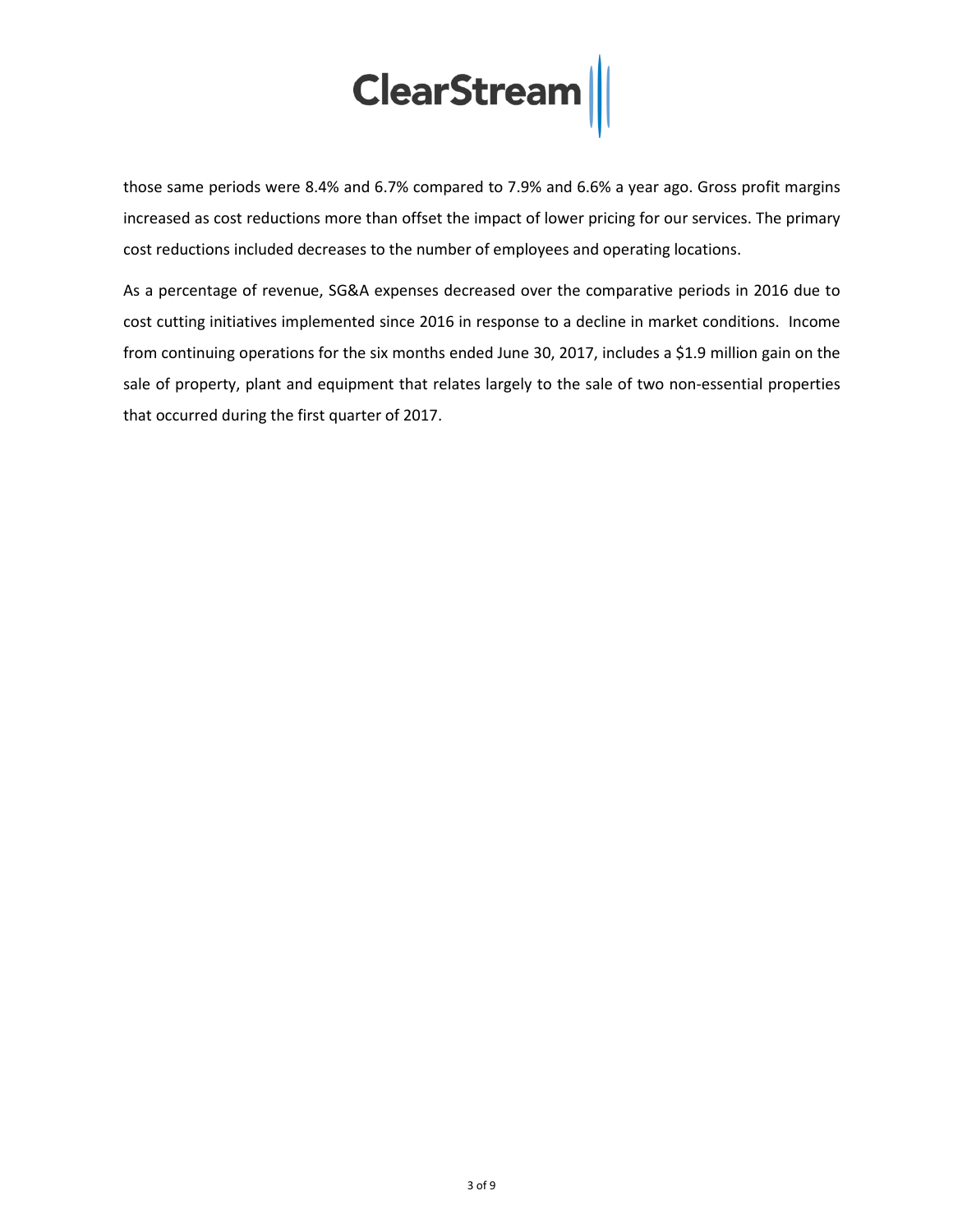those same periods were 8.4% and 6.7% compared to 7.9% and 6.6% a year ago. Gross profit margins increased as cost reductions more than offset the impact of lower pricing for our services. The primary cost reductions included decreases to the number of employees and operating locations.

As a percentage of revenue, SG&A expenses decreased over the comparative periods in 2016 due to cost cutting initiatives implemented since 2016 in response to a decline in market conditions. Income from continuing operations for the six months ended June 30, 2017, includes a \$1.9 million gain on the sale of property, plant and equipment that relates largely to the sale of two non-essential properties that occurred during the first quarter of 2017.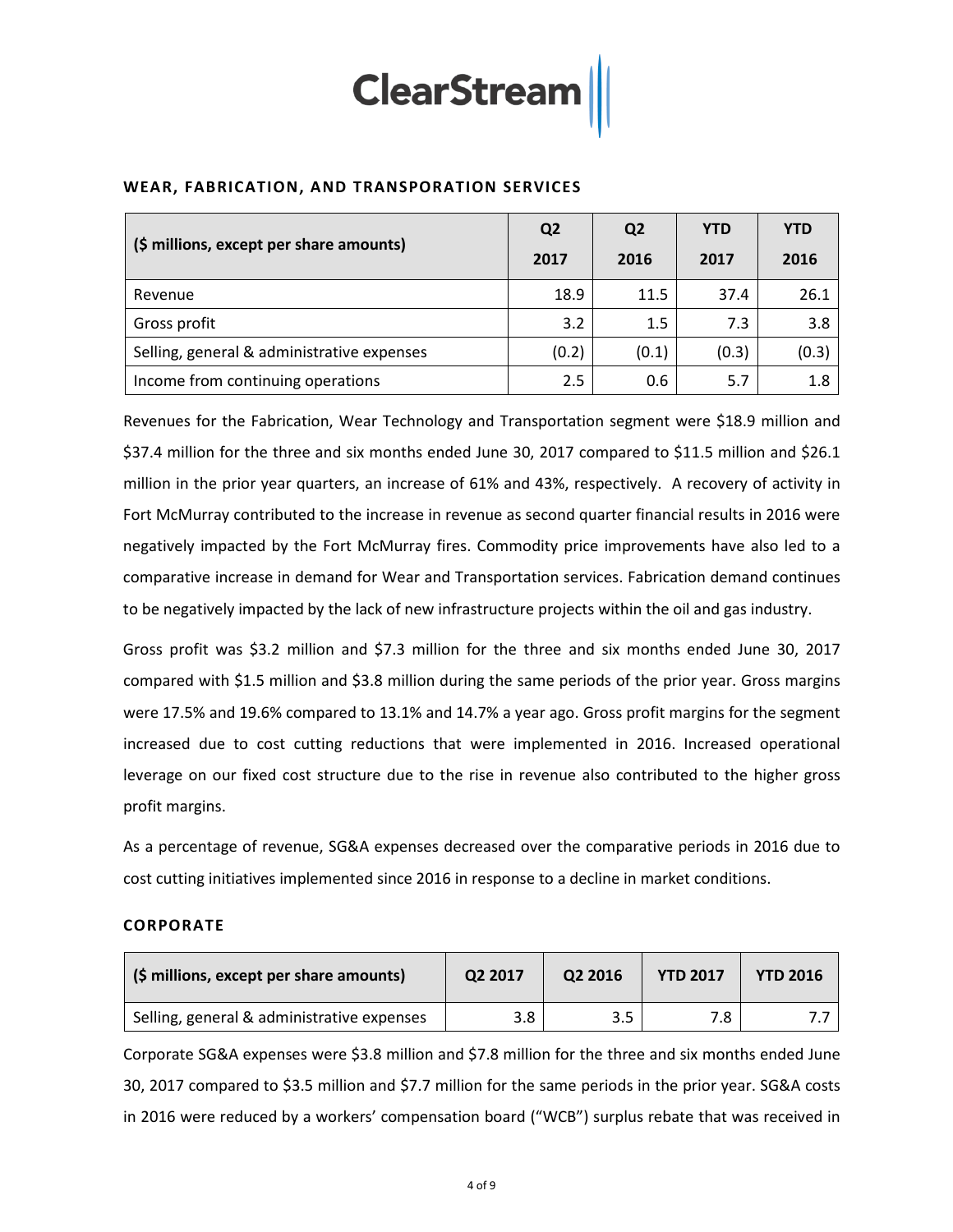

|                                            | Q <sub>2</sub> | Q <sub>2</sub> | <b>YTD</b> | <b>YTD</b> |
|--------------------------------------------|----------------|----------------|------------|------------|
| (\$ millions, except per share amounts)    | 2017           | 2016           | 2017       | 2016       |
| Revenue                                    | 18.9           | 11.5           | 37.4       | 26.1       |
| Gross profit                               | 3.2            | 1.5            | 7.3        | 3.8        |
| Selling, general & administrative expenses | (0.2)          | (0.1)          | (0.3)      | (0.3)      |
| Income from continuing operations          | 2.5            | 0.6            | 5.7        | 1.8        |

Revenues for the Fabrication, Wear Technology and Transportation segment were \$18.9 million and \$37.4 million for the three and six months ended June 30, 2017 compared to \$11.5 million and \$26.1 million in the prior year quarters, an increase of 61% and 43%, respectively. A recovery of activity in Fort McMurray contributed to the increase in revenue as second quarter financial results in 2016 were negatively impacted by the Fort McMurray fires. Commodity price improvements have also led to a comparative increase in demand for Wear and Transportation services. Fabrication demand continues to be negatively impacted by the lack of new infrastructure projects within the oil and gas industry.

Gross profit was \$3.2 million and \$7.3 million for the three and six months ended June 30, 2017 compared with \$1.5 million and \$3.8 million during the same periods of the prior year. Gross margins were 17.5% and 19.6% compared to 13.1% and 14.7% a year ago. Gross profit margins for the segment increased due to cost cutting reductions that were implemented in 2016. Increased operational leverage on our fixed cost structure due to the rise in revenue also contributed to the higher gross profit margins.

As a percentage of revenue, SG&A expenses decreased over the comparative periods in 2016 due to cost cutting initiatives implemented since 2016 in response to a decline in market conditions.

### **CORPORATE**

| (\$ millions, except per share amounts)    | Q2 2017 | Q2 2016 | <b>YTD 2017</b> | <b>YTD 2016</b> |  |
|--------------------------------------------|---------|---------|-----------------|-----------------|--|
| Selling, general & administrative expenses | 3.8     | 3.5     | 7.8             |                 |  |

Corporate SG&A expenses were \$3.8 million and \$7.8 million for the three and six months ended June 30, 2017 compared to \$3.5 million and \$7.7 million for the same periods in the prior year. SG&A costs in 2016 were reduced by a workers' compensation board ("WCB") surplus rebate that was received in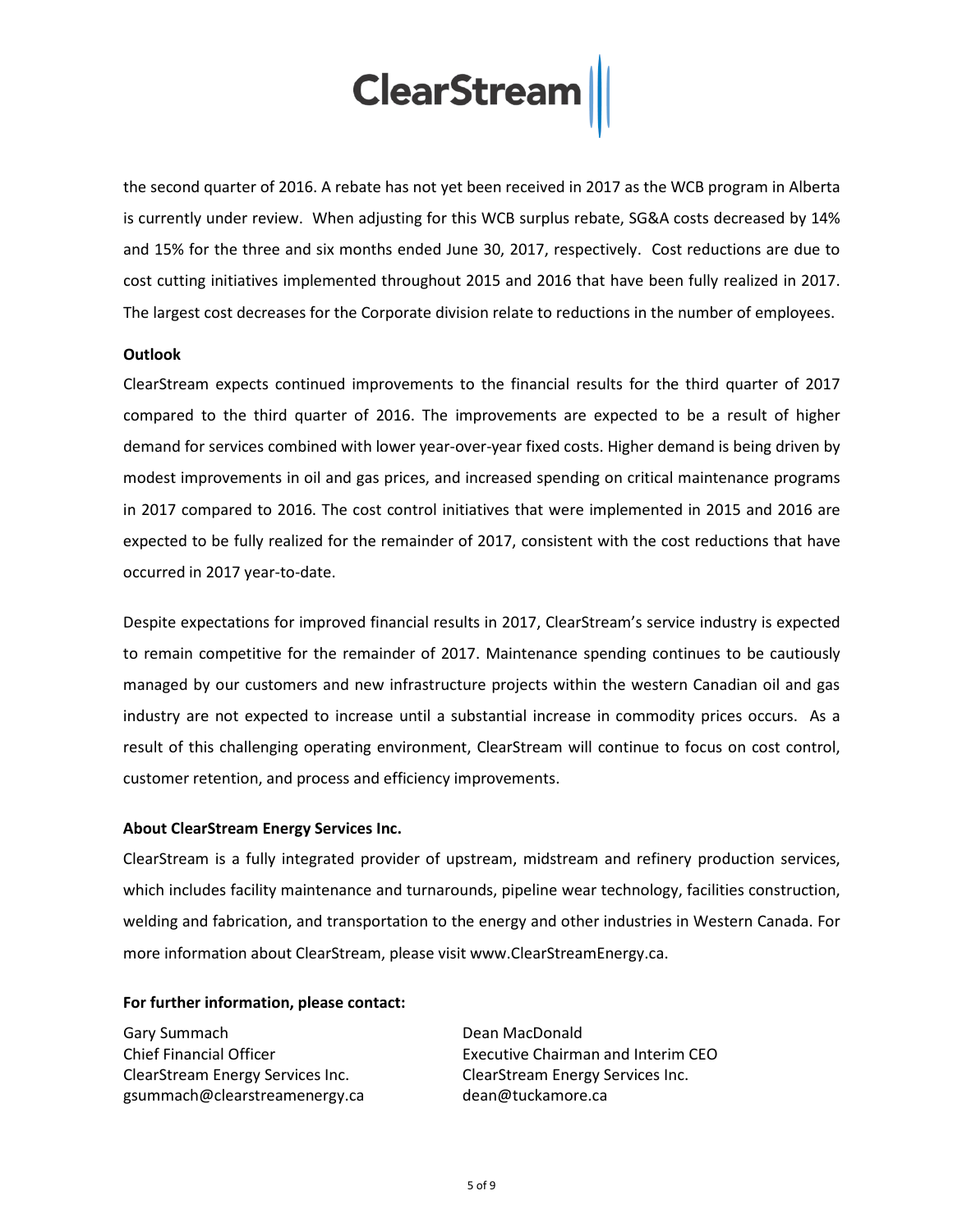the second quarter of 2016. A rebate has not yet been received in 2017 as the WCB program in Alberta is currently under review. When adjusting for this WCB surplus rebate, SG&A costs decreased by 14% and 15% for the three and six months ended June 30, 2017, respectively. Cost reductions are due to cost cutting initiatives implemented throughout 2015 and 2016 that have been fully realized in 2017. The largest cost decreases for the Corporate division relate to reductions in the number of employees.

#### **Outlook**

ClearStream expects continued improvements to the financial results for the third quarter of 2017 compared to the third quarter of 2016. The improvements are expected to be a result of higher demand for services combined with lower year-over-year fixed costs. Higher demand is being driven by modest improvements in oil and gas prices, and increased spending on critical maintenance programs in 2017 compared to 2016. The cost control initiatives that were implemented in 2015 and 2016 are expected to be fully realized for the remainder of 2017, consistent with the cost reductions that have occurred in 2017 year-to-date.

Despite expectations for improved financial results in 2017, ClearStream's service industry is expected to remain competitive for the remainder of 2017. Maintenance spending continues to be cautiously managed by our customers and new infrastructure projects within the western Canadian oil and gas industry are not expected to increase until a substantial increase in commodity prices occurs. As a result of this challenging operating environment, ClearStream will continue to focus on cost control, customer retention, and process and efficiency improvements.

### **About ClearStream Energy Services Inc.**

ClearStream is a fully integrated provider of upstream, midstream and refinery production services, which includes facility maintenance and turnarounds, pipeline wear technology, facilities construction, welding and fabrication, and transportation to the energy and other industries in Western Canada. For more information about ClearStream, please visit [www.ClearStreamEnergy.ca.](http://www.clearstreamenergy.ca/)

### **For further information, please contact:**

Gary Summach Chief Financial Officer ClearStream Energy Services Inc. gsummach@clearstreamenergy.ca

Dean MacDonald Executive Chairman and Interim CEO ClearStream Energy Services Inc. dean@tuckamore.ca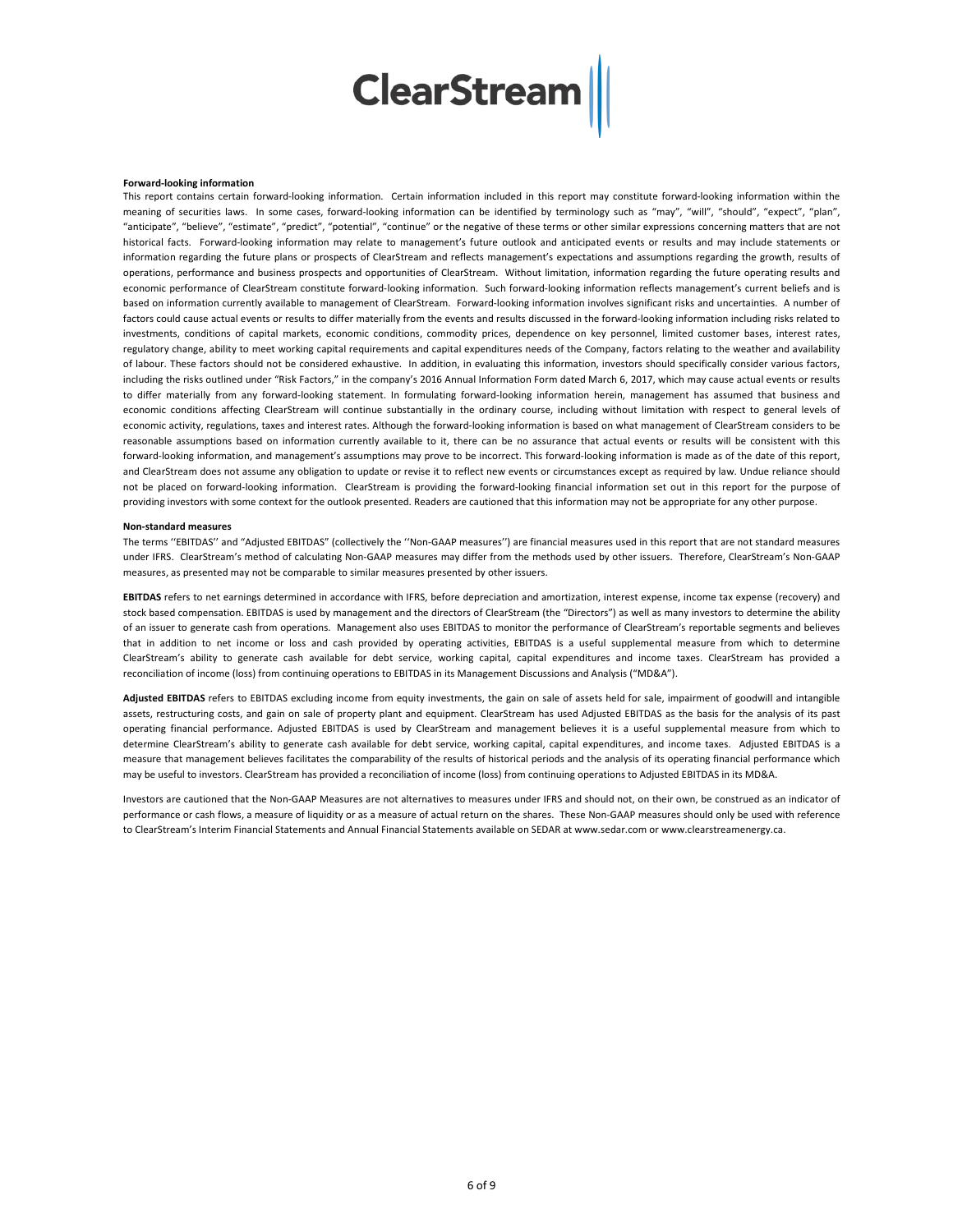#### **Forward-looking information**

This report contains certain forward-looking information. Certain information included in this report may constitute forward-looking information within the meaning of securities laws. In some cases, forward-looking information can be identified by terminology such as "may", "will", "should", "expect", "plan", "anticipate", "believe", "estimate", "predict", "potential", "continue" or the negative of these terms or other similar expressions concerning matters that are not historical facts. Forward-looking information may relate to management's future outlook and anticipated events or results and may include statements or information regarding the future plans or prospects of ClearStream and reflects management's expectations and assumptions regarding the growth, results of operations, performance and business prospects and opportunities of ClearStream. Without limitation, information regarding the future operating results and economic performance of ClearStream constitute forward-looking information. Such forward-looking information reflects management's current beliefs and is based on information currently available to management of ClearStream. Forward-looking information involves significant risks and uncertainties. A number of factors could cause actual events or results to differ materially from the events and results discussed in the forward-looking information including risks related to investments, conditions of capital markets, economic conditions, commodity prices, dependence on key personnel, limited customer bases, interest rates, regulatory change, ability to meet working capital requirements and capital expenditures needs of the Company, factors relating to the weather and availability of labour. These factors should not be considered exhaustive. In addition, in evaluating this information, investors should specifically consider various factors, including the risks outlined under "Risk Factors," in the company's 2016 Annual Information Form dated March 6, 2017, which may cause actual events or results to differ materially from any forward-looking statement. In formulating forward-looking information herein, management has assumed that business and economic conditions affecting ClearStream will continue substantially in the ordinary course, including without limitation with respect to general levels of economic activity, regulations, taxes and interest rates. Although the forward-looking information is based on what management of ClearStream considers to be reasonable assumptions based on information currently available to it, there can be no assurance that actual events or results will be consistent with this forward-looking information, and management's assumptions may prove to be incorrect. This forward-looking information is made as of the date of this report, and ClearStream does not assume any obligation to update or revise it to reflect new events or circumstances except as required by law. Undue reliance should not be placed on forward-looking information. ClearStream is providing the forward-looking financial information set out in this report for the purpose of providing investors with some context for the outlook presented. Readers are cautioned that this information may not be appropriate for any other purpose.

#### **Non-standard measures**

The terms ''EBITDAS'' and "Adjusted EBITDAS" (collectively the ''Non-GAAP measures'') are financial measures used in this report that are not standard measures under IFRS. ClearStream's method of calculating Non-GAAP measures may differ from the methods used by other issuers. Therefore, ClearStream's Non-GAAP measures, as presented may not be comparable to similar measures presented by other issuers.

**EBITDAS** refers to net earnings determined in accordance with IFRS, before depreciation and amortization, interest expense, income tax expense (recovery) and stock based compensation. EBITDAS is used by management and the directors of ClearStream (the "Directors") as well as many investors to determine the ability of an issuer to generate cash from operations. Management also uses EBITDAS to monitor the performance of ClearStream's reportable segments and believes that in addition to net income or loss and cash provided by operating activities, EBITDAS is a useful supplemental measure from which to determine ClearStream's ability to generate cash available for debt service, working capital, capital expenditures and income taxes. ClearStream has provided a reconciliation of income (loss) from continuing operations to EBITDAS in its Management Discussions and Analysis ("MD&A").

**Adjusted EBITDAS** refers to EBITDAS excluding income from equity investments, the gain on sale of assets held for sale, impairment of goodwill and intangible assets, restructuring costs, and gain on sale of property plant and equipment. ClearStream has used Adjusted EBITDAS as the basis for the analysis of its past operating financial performance. Adjusted EBITDAS is used by ClearStream and management believes it is a useful supplemental measure from which to determine ClearStream's ability to generate cash available for debt service, working capital, capital expenditures, and income taxes. Adjusted EBITDAS is a measure that management believes facilitates the comparability of the results of historical periods and the analysis of its operating financial performance which may be useful to investors. ClearStream has provided a reconciliation of income (loss) from continuing operations to Adjusted EBITDAS in its MD&A.

Investors are cautioned that the Non-GAAP Measures are not alternatives to measures under IFRS and should not, on their own, be construed as an indicator of performance or cash flows, a measure of liquidity or as a measure of actual return on the shares. These Non-GAAP measures should only be used with reference to ClearStream's Interim Financial Statements and Annual Financial Statements available on SEDAR a[t www.sedar.com](http://www.sedar.com/) or www.clearstreamenergy.ca.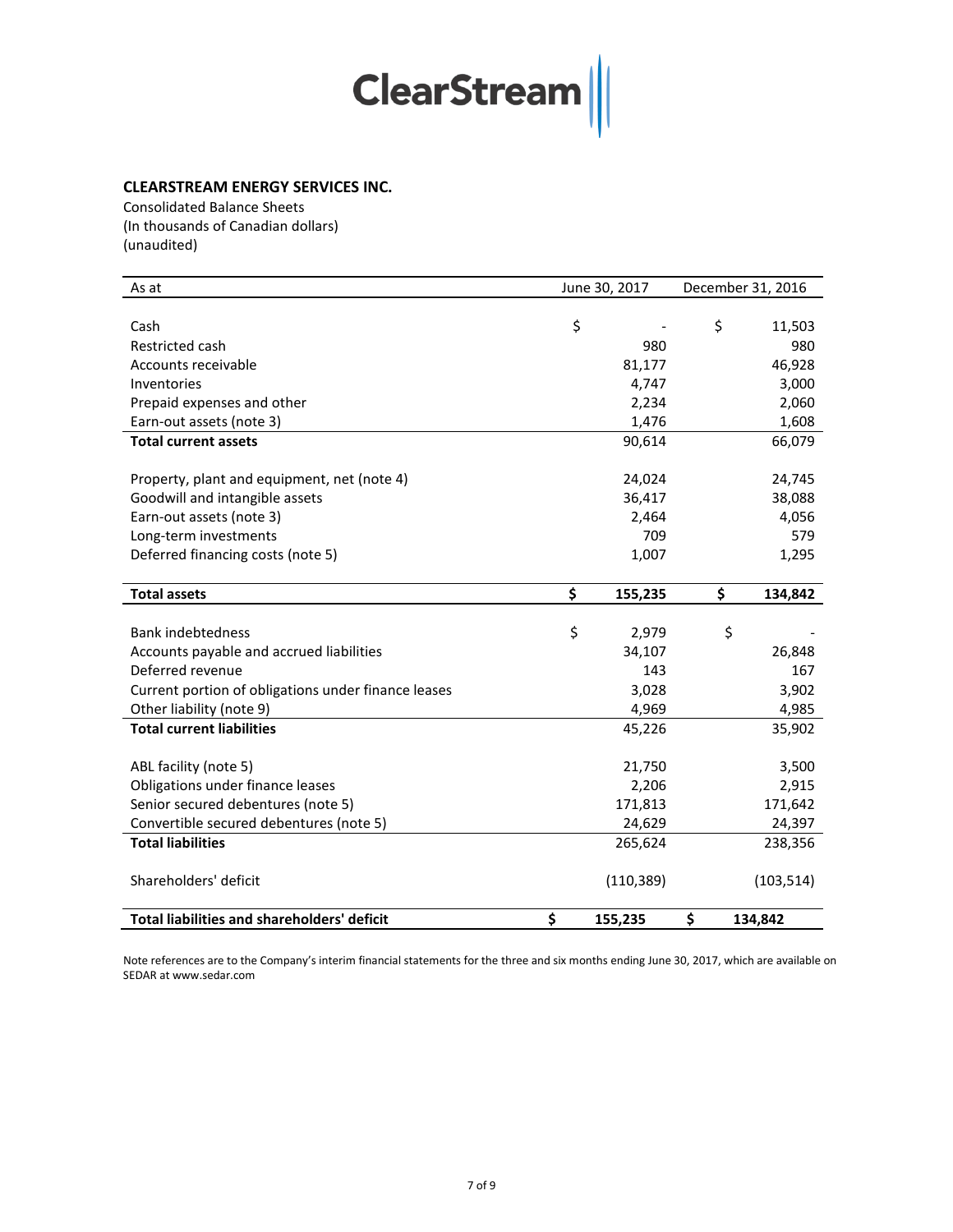### **CLEARSTREAM ENERGY SERVICES INC.**

Consolidated Balance Sheets (In thousands of Canadian dollars) (unaudited)

| As at                                               | June 30, 2017 | December 31, 2016 |            |  |
|-----------------------------------------------------|---------------|-------------------|------------|--|
|                                                     |               |                   |            |  |
| Cash                                                | \$            | \$                | 11,503     |  |
| Restricted cash                                     | 980           |                   | 980        |  |
| Accounts receivable                                 | 81,177        |                   | 46,928     |  |
| Inventories                                         | 4,747         |                   | 3,000      |  |
| Prepaid expenses and other                          | 2,234         |                   | 2,060      |  |
| Earn-out assets (note 3)                            | 1,476         |                   | 1,608      |  |
| <b>Total current assets</b>                         | 90,614        |                   | 66,079     |  |
| Property, plant and equipment, net (note 4)         | 24,024        |                   | 24,745     |  |
| Goodwill and intangible assets                      | 36,417        |                   | 38,088     |  |
| Earn-out assets (note 3)                            | 2,464         |                   | 4,056      |  |
| Long-term investments                               | 709           |                   | 579        |  |
| Deferred financing costs (note 5)                   | 1,007         |                   | 1,295      |  |
| <b>Total assets</b>                                 | \$<br>155,235 | \$                | 134,842    |  |
|                                                     |               |                   |            |  |
| <b>Bank indebtedness</b>                            | \$<br>2,979   | \$                |            |  |
| Accounts payable and accrued liabilities            | 34,107        |                   | 26,848     |  |
| Deferred revenue                                    | 143           |                   | 167        |  |
| Current portion of obligations under finance leases | 3,028         |                   | 3,902      |  |
| Other liability (note 9)                            | 4,969         |                   | 4,985      |  |
| <b>Total current liabilities</b>                    | 45,226        |                   | 35,902     |  |
| ABL facility (note 5)                               | 21,750        |                   | 3,500      |  |
| Obligations under finance leases                    | 2,206         |                   | 2,915      |  |
| Senior secured debentures (note 5)                  | 171,813       |                   | 171,642    |  |
| Convertible secured debentures (note 5)             | 24,629        |                   | 24,397     |  |
| <b>Total liabilities</b>                            | 265,624       |                   | 238,356    |  |
| Shareholders' deficit                               | (110, 389)    |                   | (103, 514) |  |
| <b>Total liabilities and shareholders' deficit</b>  | \$<br>155,235 | \$                | 134,842    |  |

Note references are to the Company's interim financial statements for the three and six months ending June 30, 2017, which are available on SEDAR at www.sedar.com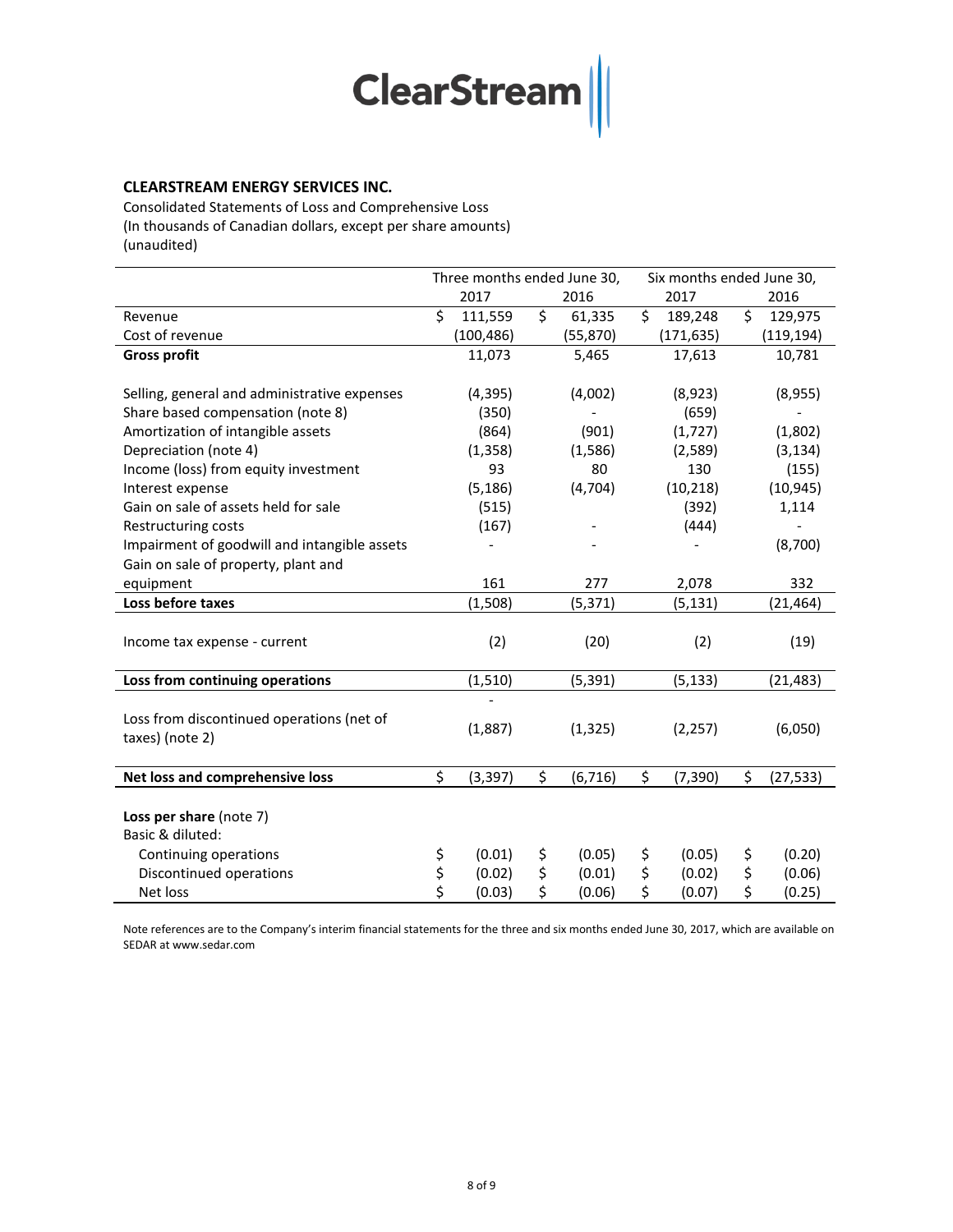### **CLEARSTREAM ENERGY SERVICES INC.**

Consolidated Statements of Loss and Comprehensive Loss (In thousands of Canadian dollars, except per share amounts) (unaudited)

|                                              | Three months ended June 30, |            |      | Six months ended June 30, |      |            |    |            |
|----------------------------------------------|-----------------------------|------------|------|---------------------------|------|------------|----|------------|
|                                              |                             | 2017       | 2016 |                           | 2017 |            |    | 2016       |
| Revenue                                      | \$                          | 111,559    | \$   | 61,335                    | \$   | 189,248    | \$ | 129,975    |
| Cost of revenue                              |                             | (100, 486) |      | (55, 870)                 |      | (171, 635) |    | (119, 194) |
| <b>Gross profit</b>                          |                             | 11,073     |      | 5,465                     |      | 17,613     |    | 10,781     |
|                                              |                             |            |      |                           |      |            |    |            |
| Selling, general and administrative expenses |                             | (4, 395)   |      | (4,002)                   |      | (8,923)    |    | (8,955)    |
| Share based compensation (note 8)            |                             | (350)      |      |                           |      | (659)      |    |            |
| Amortization of intangible assets            |                             | (864)      |      | (901)                     |      | (1,727)    |    | (1,802)    |
| Depreciation (note 4)                        |                             | (1, 358)   |      | (1,586)                   |      | (2,589)    |    | (3, 134)   |
| Income (loss) from equity investment         |                             | 93         |      | 80                        |      | 130        |    | (155)      |
| Interest expense                             |                             | (5, 186)   |      | (4,704)                   |      | (10, 218)  |    | (10, 945)  |
| Gain on sale of assets held for sale         |                             | (515)      |      |                           |      | (392)      |    | 1,114      |
| Restructuring costs                          |                             | (167)      |      |                           |      | (444)      |    |            |
| Impairment of goodwill and intangible assets |                             |            |      |                           |      |            |    | (8,700)    |
| Gain on sale of property, plant and          |                             |            |      |                           |      |            |    |            |
| equipment                                    |                             | 161        |      | 277                       |      | 2,078      |    | 332        |
| Loss before taxes                            |                             | (1,508)    |      | (5, 371)                  |      | (5, 131)   |    | (21, 464)  |
|                                              |                             |            |      |                           |      |            |    |            |
| Income tax expense - current                 |                             | (2)        |      | (20)                      |      | (2)        |    | (19)       |
|                                              |                             |            |      |                           |      |            |    |            |
| Loss from continuing operations              |                             | (1, 510)   |      | (5, 391)                  |      | (5, 133)   |    | (21, 483)  |
|                                              |                             |            |      |                           |      |            |    |            |
| Loss from discontinued operations (net of    |                             | (1,887)    |      | (1, 325)                  |      | (2, 257)   |    | (6,050)    |
| taxes) (note 2)                              |                             |            |      |                           |      |            |    |            |
|                                              |                             |            |      |                           |      |            |    |            |
| Net loss and comprehensive loss              | \$                          | (3, 397)   | \$   | (6, 716)                  | \$   | (7, 390)   | \$ | (27, 533)  |
|                                              |                             |            |      |                           |      |            |    |            |
| Loss per share (note 7)                      |                             |            |      |                           |      |            |    |            |
| Basic & diluted:                             |                             |            |      |                           |      |            |    |            |
| Continuing operations                        | \$                          | (0.01)     | \$   | (0.05)                    | \$   | (0.05)     | \$ | (0.20)     |
| Discontinued operations                      | \$                          | (0.02)     | \$   | (0.01)                    | \$   | (0.02)     | \$ | (0.06)     |
| Net loss                                     | \$                          | (0.03)     | \$   | (0.06)                    | \$   | (0.07)     | \$ | (0.25)     |

Note references are to the Company's interim financial statements for the three and six months ended June 30, 2017, which are available on SEDAR at www.sedar.com